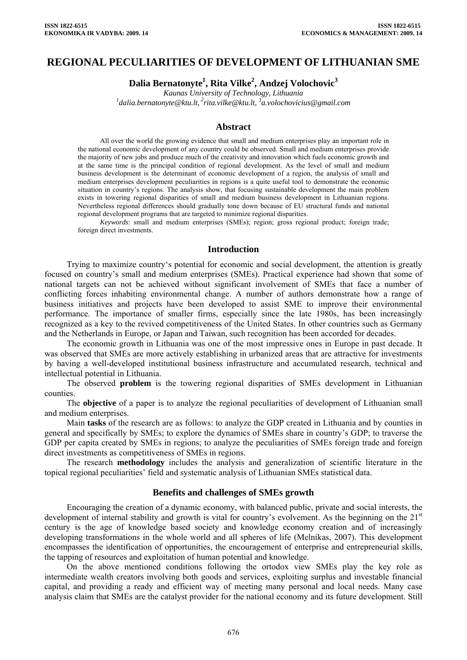# **REGIONAL PECULIARITIES OF DEVELOPMENT OF LITHUANIAN SME**

**Dalia Bernatonyte1 , Rita Vilke2 , Andzej Volochovic3**

*Kaunas University of Technology, Lithuania 1 [dalia.bernatonyte@ktu.lt](mailto:dalia.bernatonyte@ktu.lt), 2[rita.vilke@ktu.lt](mailto:rita.vilke@ktu.lt), 3 a.volochovicius@gmail.com* 

### **Abstract**

All over the world the growing evidence that small and medium enterprises play an important role in the national economic development of any country could be observed. Small and medium enterprises provide the majority of new jobs and produce much of the creativity and innovation which fuels economic growth and at the same time is the principal condition of regional development. As the level of small and medium business development is the determinant of economic development of a region, the analysis of small and medium enterprises development peculiarities in regions is a quite useful tool to demonstrate the economic situation in country's regions. The analysis show, that focusing sustainable development the main problem exists in towering regional disparities of small and medium business development in Lithuanian regions. Nevertheless regional differences should gradually tone down because of EU structural funds and national regional development programs that are targeted to minimize regional disparities.

*Keywords*: small and medium enterprises (SMEs); region; gross regional product; foreign trade; foreign direct investments.

### **Introduction**

Trying to maximize country's potential for economic and social development, the attention is greatly focused on country's small and medium enterprises (SMEs). Practical experience had shown that some of national targets can not be achieved without significant involvement of SMEs that face a number of conflicting forces inhabiting environmental change. A number of authors demonstrate how a range of business initiatives and projects have been developed to assist SME to improve their environmental performance. The importance of smaller firms, especially since the late 1980s, has been increasingly recognized as a key to the revived competitiveness of the United States. In other countries such as Germany and the Netherlands in Europe, or Japan and Taiwan, such recognition has been accorded for decades.

The economic growth in Lithuania was one of the most impressive ones in Europe in past decade. It was observed that SMEs are more actively establishing in urbanized areas that are attractive for investments by having a well-developed institutional business infrastructure and accumulated research, technical and intellectual potential in Lithuania.

The observed **problem** is the towering regional disparities of SMEs development in Lithuanian counties.

The **objective** of a paper is to analyze the regional peculiarities of development of Lithuanian small and medium enterprises.

Main **tasks** of the research are as follows: to analyze the GDP created in Lithuania and by counties in general and specifically by SMEs; to explore the dynamics of SMEs share in country's GDP; to traverse the GDP per capita created by SMEs in regions; to analyze the peculiarities of SMEs foreign trade and foreign direct investments as competitiveness of SMEs in regions.

The research **methodology** includes the analysis and generalization of scientific literature in the topical regional peculiarities' field and systematic analysis of Lithuanian SMEs statistical data.

### **Benefits and challenges of SMEs growth**

Encouraging the creation of a dynamic economy, with balanced public, private and social interests, the development of internal stability and growth is vital for country's evolvement. As the beginning on the 21<sup>st</sup> century is the age of knowledge based society and knowledge economy creation and of increasingly developing transformations in the whole world and all spheres of life (Melnikas, 2007). This development encompasses the identification of opportunities, the encouragement of enterprise and entrepreneurial skills, the tapping of resources and exploitation of human potential and knowledge.

On the above mentioned conditions following the ortodox view SMEs play the key role as intermediate wealth creators involving both goods and services, exploiting surplus and investable financial capital, and providing a ready and efficient way of meeting many personal and local needs. Many case analysis claim that SMEs are the catalyst provider for the national economy and its future development. Still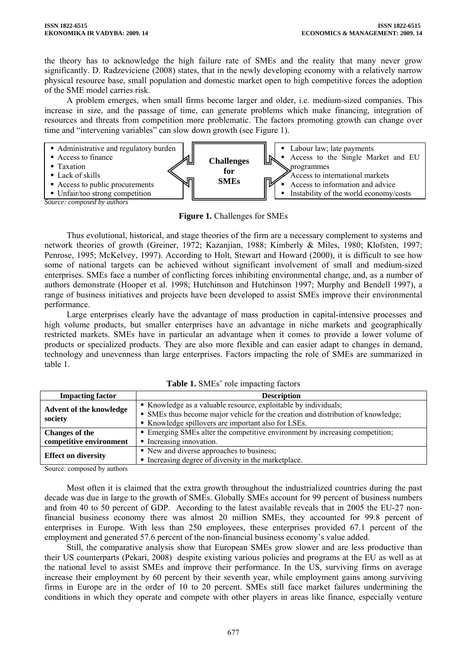the theory has to acknowledge the high failure rate of SMEs and the reality that many never grow significantly. D. Radzeviciene (2008) states, that in the newly developing economy with a relatively narrow physical resource base, small population and domestic market open to high competitive forces the adoption of the SME model carries risk.

A problem emerges, when small firms become larger and older, i.e. medium-sized companies. This increase in size, and the passage of time, can generate problems which make financing, integration of resources and threats from competition more problematic. The factors promoting growth can change over time and "intervening variables" can slow down growth (see Figure 1).



**Figure 1.** Challenges for SMEs

Thus evolutional, historical, and stage theories of the firm are a necessary complement to systems and network theories of growth (Greiner, 1972; Kazanjian, 1988; Kimberly & Miles, 1980; Klofsten, 1997; Penrose, 1995; McKelvey, 1997). According to Holt, Stewart and Howard (2000), it is difficult to see how some of national targets can be achieved without significant involvement of small and medium-sized enterprises. SMEs face a number of conflicting forces inhibiting environmental change, and, as a number of authors demonstrate (Hooper et al. 1998; Hutchinson and Hutchinson 1997; Murphy and Bendell 1997), a range of business initiatives and projects have been developed to assist SMEs improve their environmental performance.

Large enterprises clearly have the advantage of mass production in capital-intensive processes and high volume products, but smaller enterprises have an advantage in niche markets and geographically restricted markets. SMEs have in particular an advantage when it comes to provide a lower volume of products or specialized products. They are also more flexible and can easier adapt to changes in demand, technology and unevenness than large enterprises. Factors impacting the role of SMEs are summarized in table 1.

| <b>Impacting factor</b>    | <b>Description</b>                                                               |
|----------------------------|----------------------------------------------------------------------------------|
| Advent of the knowledge    | • Knowledge as a valuable resource, exploitable by individuals;                  |
|                            | • SMEs thus become major vehicle for the creation and distribution of knowledge; |
| society                    | Knowledge spillovers are important also for LSEs.                                |
| <b>Changes of the</b>      | • Emerging SMEs alter the competitive environment by increasing competition;     |
| competitive environment    | • Increasing innovation.                                                         |
|                            | • New and diverse approaches to business;                                        |
| <b>Effect on diversity</b> | • Increasing degree of diversity in the marketplace.                             |

**Table 1.** SMEs' role impacting factors

Source: composed by authors

Most often it is claimed that the extra growth throughout the industrialized countries during the past decade was due in large to the growth of SMEs. Globally SMEs account for 99 percent of business numbers and from 40 to 50 percent of GDP. According to the latest available reveals that in 2005 the EU-27 nonfinancial business economy there was almost 20 million SMEs, they accounted for 99.8 percent of enterprises in Europe. With less than 250 employees, these enterprises provided 67.1 percent of the employment and generated 57.6 percent of the non-financial business economy's value added.

Still, the comparative analysis show that European SMEs grow slower and are less productive than their US counterparts (Pekari, 2008) despite existing various policies and programs at the EU as well as at the national level to assist SMEs and improve their performance. In the US, surviving firms on average increase their employment by 60 percent by their seventh year, while employment gains among surviving firms in Europe are in the order of 10 to 20 percent. SMEs still face market failures undermining the conditions in which they operate and compete with other players in areas like finance, especially venture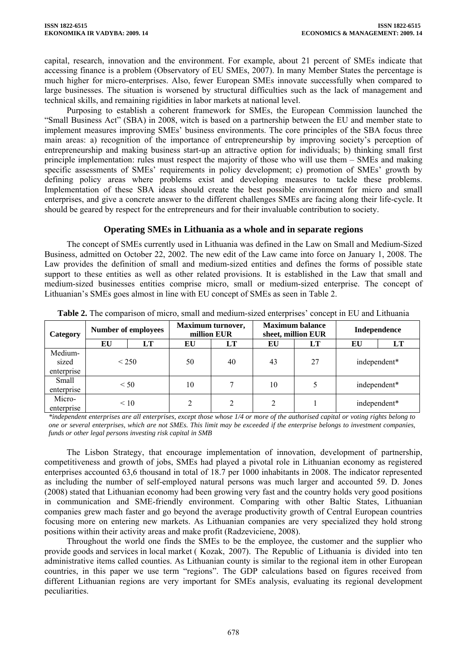capital, research, innovation and the environment. For example, about 21 percent of SMEs indicate that accessing finance is a problem (Observatory of EU SMEs, 2007). In many Member States the percentage is much higher for micro-enterprises. Also, fewer European SMEs innovate successfully when compared to large businesses. The situation is worsened by structural difficulties such as the lack of management and technical skills, and remaining rigidities in labor markets at national level.

Purposing to establish a coherent framework for SMEs, the European Commission launched the "Small Business Act" (SBA) in 2008, witch is based on a partnership between the EU and member state to implement measures improving SMEs' business environments. The core principles of the SBA focus three main areas: a) recognition of the importance of entrepreneurship by improving society's perception of entrepreneurship and making business start-up an attractive option for individuals; b) thinking small first principle implementation: rules must respect the majority of those who will use them – SMEs and making specific assessments of SMEs' requirements in policy development; c) promotion of SMEs' growth by defining policy areas where problems exist and developing measures to tackle these problems. Implementation of these SBA ideas should create the best possible environment for micro and small enterprises, and give a concrete answer to the different challenges SMEs are facing along their life-cycle. It should be geared by respect for the entrepreneurs and for their invaluable contribution to society.

## **Operating SMEs in Lithuania as a whole and in separate regions**

The concept of SMEs currently used in Lithuania was defined in the Law on Small and Medium-Sized Business, admitted on October 22, 2002. The new edit of the Law came into force on January 1, 2008. The Law provides the definition of small and medium-sized entities and defines the forms of possible state support to these entities as well as other related provisions. It is established in the Law that small and medium-sized businesses entities comprise micro, small or medium-sized enterprise. The concept of Lithuanian's SMEs goes almost in line with EU concept of SMEs as seen in Table 2.

| Category                       | <b>Number of employees</b> |           | Maximum turnover,<br>million EUR |           | <b>Maximum balance</b><br>sheet, million EUR |    | Independence |    |
|--------------------------------|----------------------------|-----------|----------------------------------|-----------|----------------------------------------------|----|--------------|----|
|                                | EU                         | LT        | EU                               | <b>LT</b> | EU                                           | LT | EU           | LT |
| Medium-<br>sized<br>enterprise | ${}_{<}$ 250               |           | 50                               | 40        | 43                                           | 27 | independent* |    |
| Small<br>enterprise            | < 50                       |           | 10                               |           | 10                                           |    | independent* |    |
| Micro-<br>enterprise           |                            | $\leq 10$ |                                  | ↑         | $\gamma$                                     |    | independent* |    |

**Table 2.** The comparison of micro, small and medium-sized enterprises' concept in EU and Lithuania

*\*independent enterprises are all enterprises, except those whose 1/4 or more of the authorised capital or voting rights belong to one or several enterprises, which are not SMEs. This limit may be exceeded if the enterprise belongs to investment companies, funds or other legal persons investing risk capital in SMB* 

The Lisbon Strategy, that encourage implementation of innovation, development of partnership, competitiveness and growth of jobs, SMEs had played a pivotal role in Lithuanian economy as registered enterprises accounted 63,6 thousand in total of 18.7 per 1000 inhabitants in 2008. The indicator represented as including the number of self-employed natural persons was much larger and accounted 59. D. Jones (2008) stated that Lithuanian economy had been growing very fast and the country holds very good positions in communication and SME-friendly environment. Comparing with other Baltic States, Lithuanian companies grew mach faster and go beyond the average productivity growth of Central European countries focusing more on entering new markets. As Lithuanian companies are very specialized they hold strong positions within their activity areas and make profit (Radzeviciene, 2008).

Throughout the world one finds the SMEs to be the employee, the customer and the supplier who provide goods and services in local market ( Kozak, 2007). The Republic of Lithuania is divided into ten administrative items called counties. As Lithuanian county is similar to the regional item in other European countries, in this paper we use term "regions". The GDP calculations based on figures received from different Lithuanian regions are very important for SMEs analysis, evaluating its regional development peculiarities.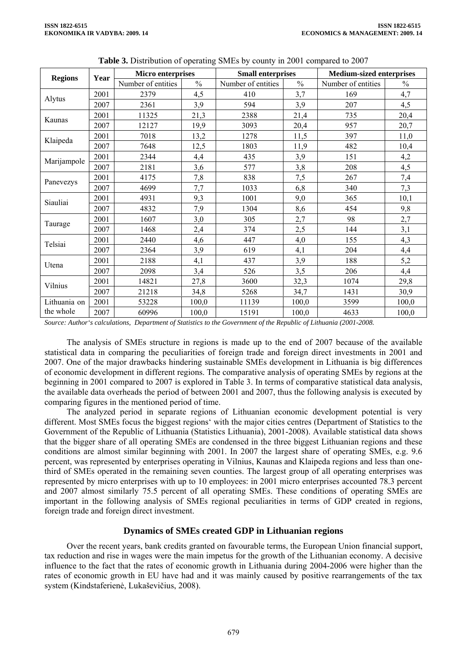| <b>Regions</b> | Year | <b>Micro enterprises</b> |               | <b>Small enterprises</b> |               | <b>Medium-sized enterprises</b> |               |
|----------------|------|--------------------------|---------------|--------------------------|---------------|---------------------------------|---------------|
|                |      | Number of entities       | $\frac{0}{0}$ | Number of entities       | $\frac{0}{0}$ | Number of entities              | $\frac{0}{0}$ |
| Alytus         | 2001 | 2379                     | 4,5           | 410                      | 3,7           | 169                             | 4,7           |
|                | 2007 | 2361                     | 3,9           | 594                      | 3,9           | 207                             | 4,5           |
| Kaunas         | 2001 | 11325                    | 21,3          | 2388                     | 21,4          | 735                             | 20,4          |
|                | 2007 | 12127                    | 19,9          | 3093                     | 20,4          | 957                             | 20,7          |
| Klaipeda       | 2001 | 7018                     | 13,2          | 1278                     | 11,5          | 397                             | 11,0          |
|                | 2007 | 7648                     | 12,5          | 1803                     | 11,9          | 482                             | 10,4          |
| Marijampole    | 2001 | 2344                     | 4,4           | 435                      | 3,9           | 151                             | 4,2           |
|                | 2007 | 2181                     | 3,6           | 577                      | 3,8           | 208                             | 4,5           |
| Panevezys      | 2001 | 4175                     | 7,8           | 838                      | 7,5           | 267                             | 7,4           |
|                | 2007 | 4699                     | 7,7           | 1033                     | 6,8           | 340                             | 7,3           |
| Siauliai       | 2001 | 4931                     | 9,3           | 1001                     | 9,0           | 365                             | 10,1          |
|                | 2007 | 4832                     | 7,9           | 1304                     | 8,6           | 454                             | 9,8           |
| Taurage        | 2001 | 1607                     | 3,0           | 305                      | 2,7           | 98                              | 2,7           |
|                | 2007 | 1468                     | 2,4           | 374                      | 2,5           | 144                             | 3,1           |
| Telsiai        | 2001 | 2440                     | 4,6           | 447                      | 4,0           | 155                             | 4,3           |
|                | 2007 | 2364                     | 3,9           | 619                      | 4,1           | 204                             | 4,4           |
| Utena          | 2001 | 2188                     | 4,1           | 437                      | 3,9           | 188                             | 5,2           |
|                | 2007 | 2098                     | 3,4           | 526                      | 3,5           | 206                             | 4,4           |
| Vilnius        | 2001 | 14821                    | 27,8          | 3600                     | 32,3          | 1074                            | 29,8          |
|                | 2007 | 21218                    | 34,8          | 5268                     | 34,7          | 1431                            | 30,9          |
| Lithuania on   | 2001 | 53228                    | 100,0         | 11139                    | 100,0         | 3599                            | 100,0         |
| the whole      | 2007 | 60996                    | 100,0         | 15191                    | 100,0         | 4633                            | 100,0         |

*Source: Author's calculations, Department of Statistics to the Government of the Republic of Lithuania (2001-2008.* 

The analysis of SMEs structure in regions is made up to the end of 2007 because of the available statistical data in comparing the peculiarities of foreign trade and foreign direct investments in 2001 and 2007. One of the major drawbacks hindering sustainable SMEs development in Lithuania is big differences of economic development in different regions. The comparative analysis of operating SMEs by regions at the beginning in 2001 compared to 2007 is explored in Table 3. In terms of comparative statistical data analysis, the available data overheads the period of between 2001 and 2007, thus the following analysis is executed by comparing figures in the mentioned period of time.

The analyzed period in separate regions of Lithuanian economic development potential is very different. Most SMEs focus the biggest regions' with the major cities centres (Department of Statistics to the Government of the Republic of Lithuania (Statistics Lithuania), 2001-2008). Available statistical data shows that the bigger share of all operating SMEs are condensed in the three biggest Lithuanian regions and these conditions are almost similar beginning with 2001. In 2007 the largest share of operating SMEs, e.g. 9.6 percent, was represented by enterprises operating in Vilnius, Kaunas and Klaipeda regions and less than onethird of SMEs operated in the remaining seven counties. The largest group of all operating enterprises was represented by micro enterprises with up to 10 employees: in 2001 micro enterprises accounted 78.3 percent and 2007 almost similarly 75.5 percent of all operating SMEs. These conditions of operating SMEs are important in the following analysis of SMEs regional peculiarities in terms of GDP created in regions, foreign trade and foreign direct investment.

## **Dynamics of SMEs created GDP in Lithuanian regions**

Over the recent years, bank credits granted on favourable terms, the European Union financial support, tax reduction and rise in wages were the main impetus for the growth of the Lithuanian economy. A decisive influence to the fact that the rates of economic growth in Lithuania during 2004-2006 were higher than the rates of economic growth in EU have had and it was mainly caused by positive rearrangements of the tax system (Kindstaferienė, Lukaševičius, 2008).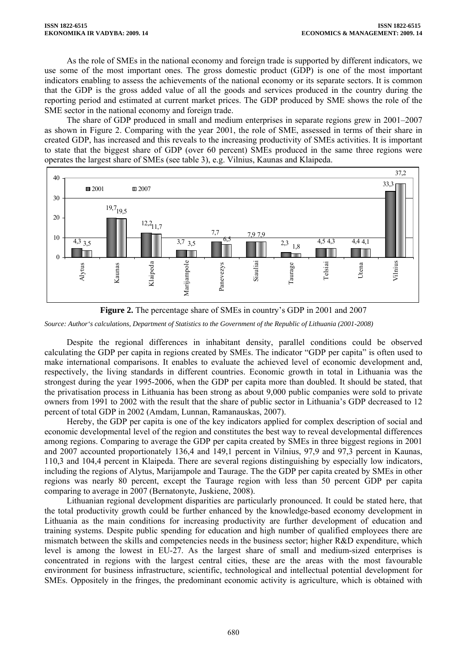As the role of SMEs in the national economy and foreign trade is supported by different indicators, we use some of the most important ones. The gross domestic product (GDP) is one of the most important indicators enabling to assess the achievements of the national economy or its separate sectors. It is common that the GDP is the gross added value of all the goods and services produced in the country during the reporting period and estimated at current market prices. The GDP produced by SME shows the role of the SME sector in the national economy and foreign trade.

The share of GDP produced in small and medium enterprises in separate regions grew in 2001–2007 as shown in Figure 2. Comparing with the year 2001, the role of SME, assessed in terms of their share in created GDP, has increased and this reveals to the increasing productivity of SMEs activities. It is important to state that the biggest share of GDP (over 60 percent) SMEs produced in the same three regions were operates the largest share of SMEs (see table 3), e.g. Vilnius, Kaunas and Klaipeda.





*Source: Author's calculations, Department of Statistics to the Government of the Republic of Lithuania (2001-2008)* 

Despite the regional differences in inhabitant density, parallel conditions could be observed calculating the GDP per capita in regions created by SMEs. The indicator "GDP per capita" is often used to make international comparisons. It enables to evaluate the achieved level of economic development and, respectively, the living standards in different countries. Economic growth in total in Lithuania was the strongest during the year 1995-2006, when the GDP per capita more than doubled. It should be stated, that the privatisation process in Lithuania has been strong as about 9,000 public companies were sold to private owners from 1991 to 2002 with the result that the share of public sector in Lithuania's GDP decreased to 12 percent of total GDP in 2002 (Amdam, Lunnan, Ramanauskas, 2007).

Hereby, the GDP per capita is one of the key indicators applied for complex description of social and economic developmental level of the region and constitutes the best way to reveal developmental differences among regions. Comparing to average the GDP per capita created by SMEs in three biggest regions in 2001 and 2007 accounted proportionately 136,4 and 149,1 percent in Vilnius, 97,9 and 97,3 percent in Kaunas, 110,3 and 104,4 percent in Klaipeda. There are several regions distinguishing by especially low indicators, including the regions of Alytus, Marijampole and Taurage. The the GDP per capita created by SMEs in other regions was nearly 80 percent, except the Taurage region with less than 50 percent GDP per capita comparing to average in 2007 (Bernatonyte, Juskiene, 2008).

Lithuanian regional development disparities are particularly pronounced. It could be stated here, that the total productivity growth could be further enhanced by the knowledge-based economy development in Lithuania as the main conditions for increasing productivity are further development of education and training systems. Despite public spending for education and high number of qualified employees there are mismatch between the skills and competencies needs in the business sector; higher R&D expenditure, which level is among the lowest in EU-27. As the largest share of small and medium-sized enterprises is concentrated in regions with the largest central cities, these are the areas with the most favourable environment for business infrastructure, scientific, technological and intellectual potential development for SMEs. Oppositely in the fringes, the predominant economic activity is agriculture, which is obtained with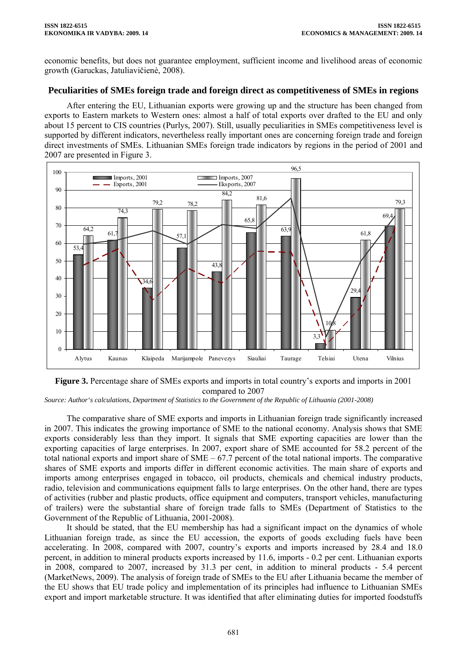economic benefits, but does not guarantee employment, sufficient income and livelihood areas of economic growth (Garuckas, Jatuliavičienė, 2008).

## **Peculiarities of SMEs foreign trade and foreign direct as competitiveness of SMEs in regions**

After entering the EU, Lithuanian exports were growing up and the structure has been changed from exports to Eastern markets to Western ones: almost a half of total exports over drafted to the EU and only about 15 percent to CIS countries (Purlys, 2007). Still, usually peculiarities in SMEs competitiveness level is supported by different indicators, nevertheless really important ones are concerning foreign trade and foreign direct investments of SMEs. Lithuanian SMEs foreign trade indicators by regions in the period of 2001 and 2007 are presented in Figure 3.



**Figure 3.** Percentage share of SMEs exports and imports in total country's exports and imports in 2001 compared to 2007

*Source: Author's calculations, Department of Statistics to the Government of the Republic of Lithuania (2001-2008)* 

The comparative share of SME exports and imports in Lithuanian foreign trade significantly increased in 2007. This indicates the growing importance of SME to the national economy. Analysis shows that SME exports considerably less than they import. It signals that SME exporting capacities are lower than the exporting capacities of large enterprises. In 2007, export share of SME accounted for 58.2 percent of the total national exports and import share of SME – 67.7 percent of the total national imports. The comparative shares of SME exports and imports differ in different economic activities. The main share of exports and imports among enterprises engaged in tobacco, oil products, chemicals and chemical industry products, radio, television and communications equipment falls to large enterprises. On the other hand, there are types of activities (rubber and plastic products, office equipment and computers, transport vehicles, manufacturing of trailers) were the substantial share of foreign trade falls to SMEs (Department of Statistics to the Government of the Republic of Lithuania, 2001-2008).

It should be stated, that the EU membership has had a significant impact on the dynamics of whole Lithuanian foreign trade, as since the EU accession, the exports of goods excluding fuels have been accelerating. In 2008, compared with 2007, country's exports and imports increased by 28.4 and 18.0 percent, in addition to mineral products exports increased by 11.6, imports - 0.2 per cent. Lithuanian exports in 2008, compared to 2007, increased by 31.3 per cent, in addition to mineral products - 5.4 percent (MarketNews, 2009). The analysis of foreign trade of SMEs to the EU after Lithuania became the member of the EU shows that EU trade policy and implementation of its principles had influence to Lithuanian SMEs export and import marketable structure. It was identified that after eliminating duties for imported foodstuffs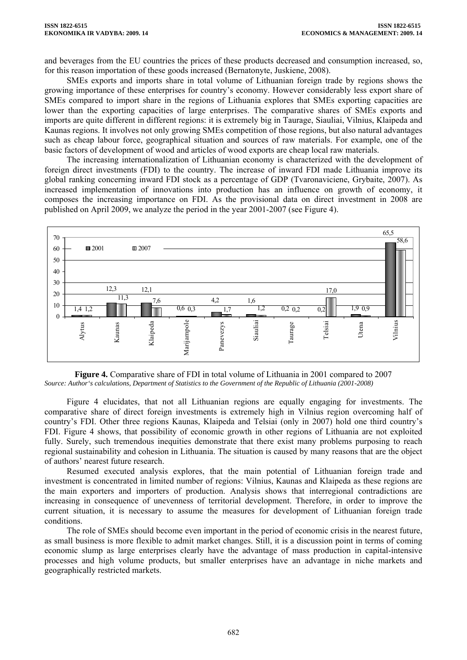and beverages from the EU countries the prices of these products decreased and consumption increased, so, for this reason importation of these goods increased (Bernatonyte, Juskiene, 2008).

SMEs exports and imports share in total volume of Lithuanian foreign trade by regions shows the growing importance of these enterprises for country's economy. However considerably less export share of SMEs compared to import share in the regions of Lithuania explores that SMEs exporting capacities are lower than the exporting capacities of large enterprises. The comparative shares of SMEs exports and imports are quite different in different regions: it is extremely big in Taurage, Siauliai, Vilnius, Klaipeda and Kaunas regions. It involves not only growing SMEs competition of those regions, but also natural advantages such as cheap labour force, geographical situation and sources of raw materials. For example, one of the basic factors of development of wood and articles of wood exports are cheap local raw materials.

The increasing internationalization of Lithuanian economy is characterized with the development of foreign direct investments (FDI) to the country. The increase of inward FDI made Lithuania improve its global ranking concerning inward FDI stock as a percentage of GDP (Tvaronaviciene, Grybaite, 2007). As increased implementation of innovations into production has an influence on growth of economy, it composes the increasing importance on FDI. As the provisional data on direct investment in 2008 are published on April 2009, we analyze the period in the year 2001-2007 (see Figure 4).



**Figure 4.** Comparative share of FDI in total volume of Lithuania in 2001 compared to 2007 *Source: Author's calculations, Department of Statistics to the Government of the Republic of Lithuania (2001-2008)* 

Figure 4 elucidates, that not all Lithuanian regions are equally engaging for investments. The comparative share of direct foreign investments is extremely high in Vilnius region overcoming half of country's FDI. Other three regions Kaunas, Klaipeda and Telsiai (only in 2007) hold one third country's FDI. Figure 4 shows, that possibility of economic growth in other regions of Lithuania are not exploited fully. Surely, such tremendous inequities demonstrate that there exist many problems purposing to reach regional sustainability and cohesion in Lithuania. The situation is caused by many reasons that are the object of authors' nearest future research.

Resumed executed analysis explores, that the main potential of Lithuanian foreign trade and investment is concentrated in limited number of regions: Vilnius, Kaunas and Klaipeda as these regions are the main exporters and importers of production. Analysis shows that interregional contradictions are increasing in consequence of unevenness of territorial development. Therefore, in order to improve the current situation, it is necessary to assume the measures for development of Lithuanian foreign trade conditions.

The role of SMEs should become even important in the period of economic crisis in the nearest future, as small business is more flexible to admit market changes. Still, it is a discussion point in terms of coming economic slump as large enterprises clearly have the advantage of mass production in capital-intensive processes and high volume products, but smaller enterprises have an advantage in niche markets and geographically restricted markets.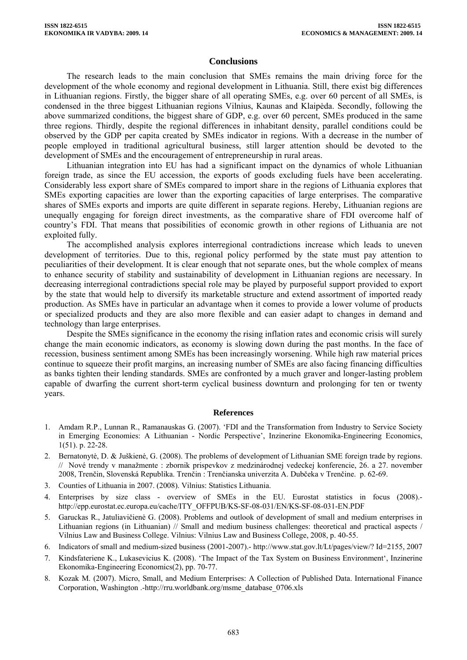### **Conclusions**

The research leads to the main conclusion that SMEs remains the main driving force for the development of the whole economy and regional development in Lithuania. Still, there exist big differences in Lithuanian regions. Firstly, the bigger share of all operating SMEs, e.g. over 60 percent of all SMEs, is condensed in the three biggest Lithuanian regions Vilnius, Kaunas and Klaipėda. Secondly, following the above summarized conditions, the biggest share of GDP, e.g. over 60 percent, SMEs produced in the same three regions. Thirdly, despite the regional differences in inhabitant density, parallel conditions could be observed by the GDP per capita created by SMEs indicator in regions. With a decrease in the number of people employed in traditional agricultural business, still larger attention should be devoted to the development of SMEs and the encouragement of entrepreneurship in rural areas.

Lithuanian integration into EU has had a significant impact on the dynamics of whole Lithuanian foreign trade, as since the EU accession, the exports of goods excluding fuels have been accelerating. Considerably less export share of SMEs compared to import share in the regions of Lithuania explores that SMEs exporting capacities are lower than the exporting capacities of large enterprises. The comparative shares of SMEs exports and imports are quite different in separate regions. Hereby, Lithuanian regions are unequally engaging for foreign direct investments, as the comparative share of FDI overcome half of country's FDI. That means that possibilities of economic growth in other regions of Lithuania are not exploited fully.

The accomplished analysis explores interregional contradictions increase which leads to uneven development of territories. Due to this, regional policy performed by the state must pay attention to peculiarities of their development. It is clear enough that not separate ones, but the whole complex of means to enhance security of stability and sustainability of development in Lithuanian regions are necessary. In decreasing interregional contradictions special role may be played by purposeful support provided to export by the state that would help to diversify its marketable structure and extend assortment of imported ready production. As SMEs have in particular an advantage when it comes to provide a lower volume of products or specialized products and they are also more flexible and can easier adapt to changes in demand and technology than large enterprises.

Despite the SMEs significance in the economy the rising inflation rates and economic crisis will surely change the main economic indicators, as economy is slowing down during the past months. In the face of recession, business sentiment among SMEs has been increasingly worsening. While high raw material prices continue to squeeze their profit margins, an increasing number of SMEs are also facing financing difficulties as banks tighten their lending standards. SMEs are confronted by a much graver and longer-lasting problem capable of dwarfing the current short-term cyclical business downturn and prolonging for ten or twenty years.

#### **References**

- 1. Amdam R.P., Lunnan R., Ramanauskas G. (2007). 'FDI and the Transformation from Industry to Service Society in Emerging Economies: A Lithuanian - Nordic Perspective', Inzinerine Ekonomika-Engineering Economics, 1(51). p. 22-28.
- 2. Bernatonytė, D. & Juškienė, G. (2008). The problems of development of Lithuanian SME foreign trade by regions. // Nové trendy v manažmente : zbornik prispevkov z medzinárodnej vedeckej konferencie, 26. a 27. november 2008, Trenčin, Slovenská Republika. Trenčin : Trenčianska univerzita A. Dubčeka v Trenčine. p. 62-69.
- 3. Counties of Lithuania in 2007. (2008). Vilnius: Statistics Lithuania.
- 4. Enterprises by size class overview of SMEs in the EU. Eurostat statistics in focus (2008). http://epp.eurostat.ec.europa.eu/cache/ITY\_OFFPUB/KS-SF-08-031/EN/KS-SF-08-031-EN.PDF
- 5. Garuckas R., Jatuliavičienė G. (2008). Problems and outlook of development of small and medium enterprises in Lithuanian regions (in Lithuanian) // Small and medium business challenges: theoretical and practical aspects / Vilnius Law and Business College. Vilnius: Vilnius Law and Business College, 2008, p. 40-55.
- 6. Indicators of small and medium-sized business (2001-2007).- http://www.stat.gov.lt/Lt/pages/view/? Id=2155, 2007
- 7. Kindsfateriene K., Lukasevicius K. (2008). 'The Impact of the Tax System on Business Environment', Inzinerine Ekonomika-Engineering Economics(2), pp. 70-77.
- 8. Kozak M. (2007). Micro, Small, and Medium Enterprises: A Collection of Published Data. International Finance Corporation, Washington .-http://rru.worldbank.org/msme\_database\_0706.xls